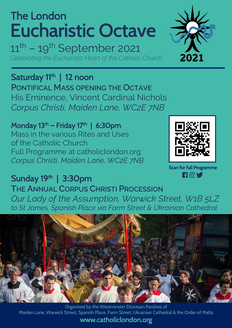# Eucharistic Octave The London

 $11<sup>th</sup> - 19<sup>th</sup>$  September 2021 *Celebrating the Eucharistic Heart of the Catholic Church*

Saturday 11<sup>th</sup> | 12 noon **PONTIFICAL MASS OPENING THE OCTAVE** His Eminence, Vincent Cardinal Nichols *Corpus Christi, Maiden Lane, WC2E 7NB*

Monday  $13<sup>th</sup>$  – Friday  $17<sup>th</sup>$  | 6:30pm Mass in the various Rites and Uses of the Catholic Church Full Programme at catholiclondon.org *Corpus Christi, Maiden Lane, WC2E 7NB* 





Organised by the Westminster Diocesan Parishes of Maiden Lane, Warwick Street, Spanish Place, Farm Street, Ukrainian Cathedral & the Order of Malta www.catholiclondon.org